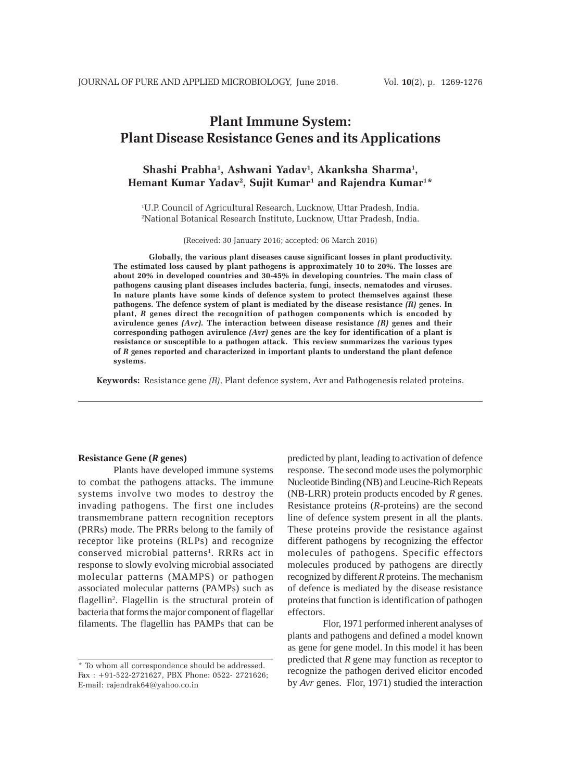# **Plant Immune System: Plant Disease Resistance Genes and its Applications**

### **Shashi Prabha1 , Ashwani Yadav1 , Akanksha Sharma1 , Hemant Kumar Yadav2 , Sujit Kumar1 and Rajendra Kumar1 \***

1 U.P. Council of Agricultural Research, Lucknow, Uttar Pradesh, India. 2 National Botanical Research Institute, Lucknow, Uttar Pradesh, India.

(Received: 30 January 2016; accepted: 06 March 2016)

**Globally, the various plant diseases cause significant losses in plant productivity. The estimated loss caused by plant pathogens is approximately 10 to 20%. The losses are about 20% in developed countries and 30-45% in developing countries. The main class of pathogens causing plant diseases includes bacteria, fungi, insects, nematodes and viruses. In nature plants have some kinds of defence system to protect themselves against these pathogens. The defence system of plant is mediated by the disease resistance** *(R)* **genes. In plant,** *R* **genes direct the recognition of pathogen components which is encoded by avirulence genes** *(Avr).* **The interaction between disease resistance** *(R)* **genes and their corresponding pathogen avirulence** *(Avr)* **genes are the key for identification of a plant is resistance or susceptible to a pathogen attack. This review summarizes the various types of** *R* **genes reported and characterized in important plants to understand the plant defence systems.**

**Keywords:** Resistance gene *(R),* Plant defence system, Avr and Pathogenesis related proteins.

#### **Resistance Gene (***R* **genes)**

Plants have developed immune systems to combat the pathogens attacks. The immune systems involve two modes to destroy the invading pathogens. The first one includes transmembrane pattern recognition receptors (PRRs) mode. The PRRs belong to the family of receptor like proteins (RLPs) and recognize conserved microbial patterns<sup>1</sup>. RRRs act in response to slowly evolving microbial associated molecular patterns (MAMPS) or pathogen associated molecular patterns (PAMPs) such as flagellin<sup>2</sup>. Flagellin is the structural protein of bacteria that forms the major component of flagellar filaments. The flagellin has PAMPs that can be predicted by plant, leading to activation of defence response. The second mode uses the polymorphic Nucleotide Binding (NB) and Leucine-Rich Repeats (NB-LRR) protein products encoded by *R* genes. Resistance proteins (*R*-proteins) are the second line of defence system present in all the plants. These proteins provide the resistance against different pathogens by recognizing the effector molecules of pathogens. Specific effectors molecules produced by pathogens are directly recognized by different *R* proteins. The mechanism of defence is mediated by the disease resistance proteins that function is identification of pathogen effectors.

Flor, 1971 performed inherent analyses of plants and pathogens and defined a model known as gene for gene model. In this model it has been predicted that *R* gene may function as receptor to recognize the pathogen derived elicitor encoded by *Avr* genes. Flor, 1971) studied the interaction

<sup>\*</sup> To whom all correspondence should be addressed. Fax : +91-522-2721627, PBX Phone: 0522- 2721626; E-mail: rajendrak64@yahoo.co.in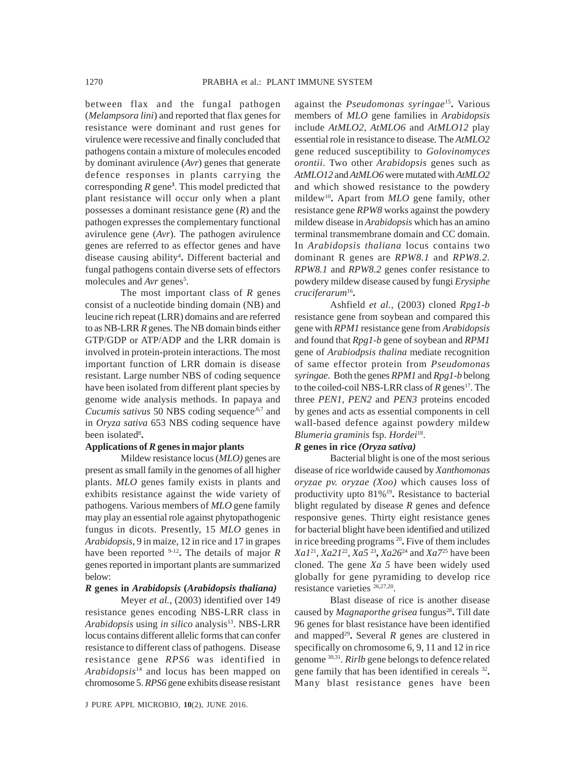between flax and the fungal pathogen (*Melampsora lini*) and reported that flax genes for resistance were dominant and rust genes for virulence were recessive and finally concluded that pathogens contain a mixture of molecules encoded by dominant avirulence (*Avr*) genes that generate defence responses in plants carrying the corresponding *R* gene**<sup>3</sup>** . This model predicted that plant resistance will occur only when a plant possesses a dominant resistance gene (*R*) and the pathogen expresses the complementary functional avirulence gene (*Avr*). The pathogen avirulence genes are referred to as effector genes and have disease causing ability4 **.** Different bacterial and fungal pathogens contain diverse sets of effectors molecules and *Avr* genes<sup>5</sup>.

The most important class of *R* genes consist of a nucleotide binding domain (NB) and leucine rich repeat (LRR) domains and are referred to as NB-LRR *R* genes. The NB domain binds either GTP/GDP or ATP/ADP and the LRR domain is involved in protein-protein interactions. The most important function of LRR domain is disease resistant. Large number NBS of coding sequence have been isolated from different plant species by genome wide analysis methods. In papaya and *Cucumis sativus* 50 NBS coding sequence,<sup>6,7</sup> and in *Oryza sativa* 653 NBS coding sequence have been isolated<sup>8</sup>.

### **Applications of** *R* **genes in major plants**

Mildew resistance locus (*MLO)* genes are present as small family in the genomes of all higher plants. *MLO* genes family exists in plants and exhibits resistance against the wide variety of pathogens. Various members of *MLO* gene family may play an essential role against phytopathogenic fungus in dicots. Presently, 15 *MLO* genes in *Arabidopsis*, 9 in maize, 12 in rice and 17 in grapes have been reported 9-12**.** The details of major *R* genes reported in important plants are summarized below:

### *R* **genes in** *Arabidopsis* **(***Arabidopsis thaliana)*

Meyer *et al.,* (2003) identified over 149 resistance genes encoding NBS-LRR class in *Arabidopsis* using *in silico* analysis<sup>13</sup>. NBS-LRR locus contains different allelic forms that can confer resistance to different class of pathogens. Disease resistance gene *RPS6* was identified in *Arabidopsis*<sup>14</sup> and locus has been mapped on chromosome 5. *RPS6* gene exhibits disease resistant

against the *Pseudomonas syringae*15**.** Various members of *MLO* gene families in *Arabidopsis* include *AtMLO2, AtMLO6* and *AtMLO12* play essential role in resistance to disease*.* The *AtMLO2* gene reduced susceptibility to *Golovinomyces orontii*. Two other *Arabidopsis* genes such as *AtMLO12* and *AtMLO6* were mutated with *AtMLO2* and which showed resistance to the powdery mildew10**.** Apart from *MLO* gene family, other resistance gene *RPW8* works against the powdery mildew disease in *Arabidopsis* which has an amino terminal transmembrane domain and CC domain. In *Arabidopsis thaliana* locus contains two dominant R genes are *RPW8.1* and *RPW8.2. RPW8.1* and *RPW8.2* genes confer resistance to powdery mildew disease caused by fungi *Erysiphe cruciferarum*16**.**

Ashfield *et al.,* (2003) cloned *Rpg1-b* resistance gene from soybean and compared this gene with *RPM1* resistance gene from *Arabidopsis* and found that *Rpg1-b* gene of soybean and *RPM1* gene of *Arabiodpsis thalina* mediate recognition of same effector protein from *Pseudomonas syringae*. Both the genes *RPM1* and *Rpg1-b* belong to the coiled-coil NBS-LRR class of  $R$  genes<sup>17</sup>. The three *PEN1, PEN2* and *PEN3* proteins encoded by genes and acts as essential components in cell wall-based defence against powdery mildew *Blumeria graminis* fsp. *Hordei*18.

### *R* **genes in rice** *(Oryza sativa)*

Bacterial blight is one of the most serious disease of rice worldwide caused by *Xanthomonas oryzae pv. oryzae (Xoo)* which causes loss of productivity upto 81%19**.** Resistance to bacterial blight regulated by disease *R* genes and defence responsive genes. Thirty eight resistance genes for bacterial blight have been identified and utilized in rice breeding programs 20**.** Five of them includes *Xa1*21, *Xa21*22, *Xa5* <sup>23</sup>**,** *Xa26*24 and *Xa7*25 have been cloned. The gene *Xa 5* have been widely used globally for gene pyramiding to develop rice resistance varieties 26,27,20.

Blast disease of rice is another disease caused by *Magnaporthe grisea* fungus<sup>28</sup>. Till date 96 genes for blast resistance have been identified and mapped<sup>29</sup>. Several  $R$  genes are clustered in specifically on chromosome 6, 9, 11 and 12 in rice genome 30,31*. Rirlb* gene belongs to defence related gene family that has been identified in cereals <sup>32</sup>**.** Many blast resistance genes have been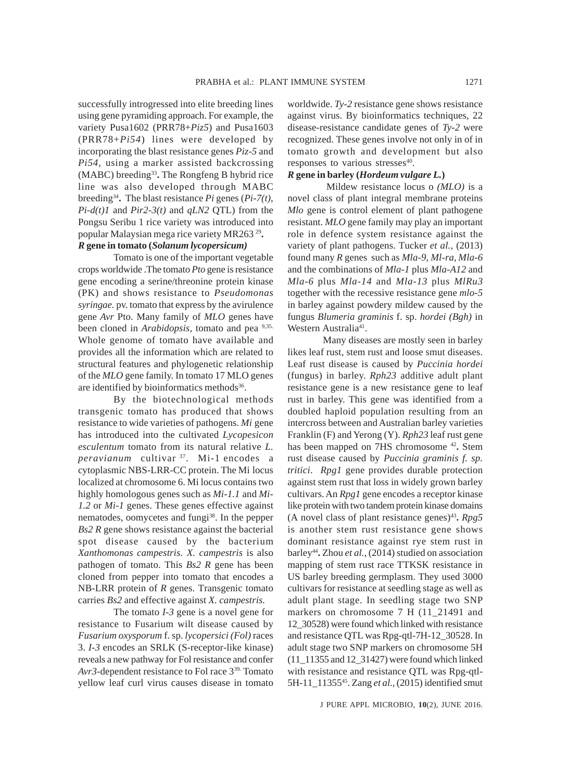successfully introgressed into elite breeding lines using gene pyramiding approach. For example, the variety Pusa1602 (PRR78+*Piz5*) and Pusa1603 (PRR78+*Pi54*) lines were developed by incorporating the blast resistance genes *Piz-5* and *Pi54*, using a marker assisted backcrossing (MABC) breeding33**.** The Rongfeng B hybrid rice line was also developed through MABC breeding34**.** The blast resistance *Pi* genes (*Pi-7(t)*, *Pi-d(t)1* and *Pir2-3(t)* and *qLN2* QTL) from the Pongsu Seribu 1 rice variety was introduced into popular Malaysian mega rice variety MR263 29**.**

# *R* **gene in tomato (***Solanum lycopersicum)*

Tomato is one of the important vegetable crops worldwide .The tomato *Pto* gene is resistance gene encoding a serine/threonine protein kinase (PK) and shows resistance to *Pseudomonas syringae.* pv. tomato that express by the avirulence gene *Avr* Pto. Many family of *MLO* genes have been cloned in *Arabidopsis*, tomato and pea 9,35. Whole genome of tomato have available and provides all the information which are related to structural features and phylogenetic relationship of the *MLO* gene family. In tomato 17 MLO genes are identified by bioinformatics methods<sup>36</sup>.

By the biotechnological methods transgenic tomato has produced that shows resistance to wide varieties of pathogens. *Mi* gene has introduced into the cultivated *Lycopesicon esculentum* tomato from its natural relative *L. peravianum* cultivar 37. Mi-1 encodes a cytoplasmic NBS-LRR-CC protein. The Mi locus localized at chromosome 6. Mi locus contains two highly homologous genes such as *Mi-1.1* and *Mi-1.2* or *Mi-1* genes. These genes effective against nematodes, oomycetes and fungi<sup>38</sup>. In the pepper *Bs2 R* gene shows resistance against the bacterial spot disease caused by the bacterium *Xanthomonas campestris. X. campestris* is also pathogen of tomato. This *Bs2 R* gene has been cloned from pepper into tomato that encodes a NB-LRR protein of *R* genes. Transgenic tomato carries *Bs2* and effective against *X. campestris.*

The tomato *I-3* gene is a novel gene for resistance to Fusarium wilt disease caused by *Fusarium oxysporum* f. sp. *lycopersici (Fol)* races 3. *I-3* encodes an SRLK (S-receptor-like kinase) reveals a new pathway for Fol resistance and confer *Avr3*-dependent resistance to Fol race 339. Tomato yellow leaf curl virus causes disease in tomato

worldwide. *Ty-2* resistance gene shows resistance against virus. By bioinformatics techniques, 22 disease-resistance candidate genes of *Ty-2* were recognized. These genes involve not only in of in tomato growth and development but also responses to various stresses<sup>40</sup>.

# *R* **gene in barley (***Hordeum vulgare L.***)**

 Mildew resistance locus o *(MLO)* is a novel class of plant integral membrane proteins *Mlo* gene is control element of plant pathogene resistant. *MLO* gene family may play an important role in defence system resistance against the variety of plant pathogens. Tucker *et al.,* (2013) found many *R* genes such as *Mla-9, Ml-ra*, *Mla-6* and the combinations of *Mla-1* plus *Mla-A12* and *Mla-6* plus *Mla-14* and *Mla-13* plus *MlRu3* together with the recessive resistance gene *mlo-5* in barley against powdery mildew caused by the fungus *Blumeria graminis* f. sp. *hordei (Bgh)* in Western Australia<sup>41</sup>.

Many diseases are mostly seen in barley likes leaf rust, stem rust and loose smut diseases. Leaf rust disease is caused by *Puccinia hordei* (fungus) in barley. *Rph23* additive adult plant resistance gene is a new resistance gene to leaf rust in barley. This gene was identified from a doubled haploid population resulting from an intercross between and Australian barley varieties Franklin (F) and Yerong (Y). *Rph23* leaf rust gene has been mapped on 7HS chromosome 42**.** Stem rust disease caused by *Puccinia graminis f. sp. tritici*. *Rpg1* gene provides durable protection against stem rust that loss in widely grown barley cultivars. An *Rpg1* gene encodes a receptor kinase like protein with two tandem protein kinase domains (A novel class of plant resistance genes)<sup>43</sup>.  $Rpg5$ is another stem rust resistance gene shows dominant resistance against rye stem rust in barley<sup>44</sup>. Zhou *et al.*, (2014) studied on association mapping of stem rust race TTKSK resistance in US barley breeding germplasm. They used 3000 cultivars for resistance at seedling stage as well as adult plant stage. In seedling stage two SNP markers on chromosome 7 H (11\_21491 and 12\_30528) were found which linked with resistance and resistance QTL was Rpg-qtl-7H-12\_30528. In adult stage two SNP markers on chromosome 5H (11\_11355 and 12\_31427) were found which linked with resistance and resistance QTL was Rpg-qtl-5H-11\_1135545. Zang *et al.,* (2015) identified smut

J PURE APPL MICROBIO*,* **10**(2), JUNE 2016.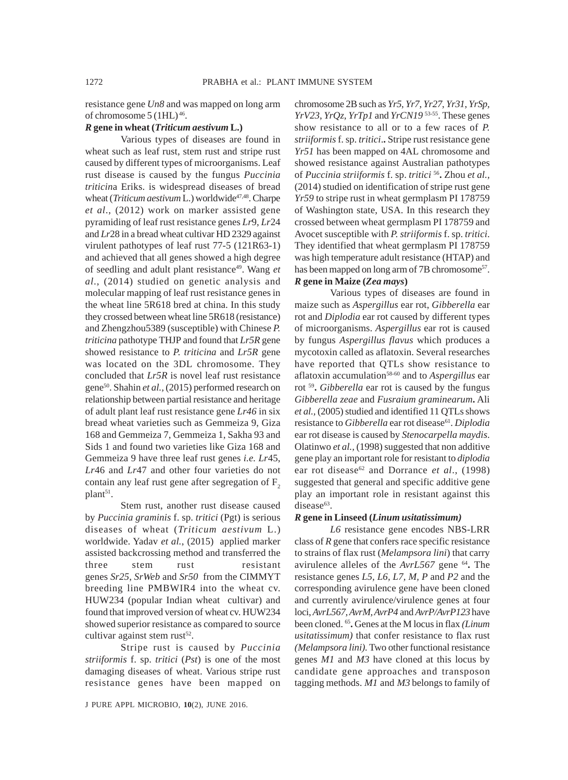resistance gene *Un8* and was mapped on long arm of chromosome 5 (1HL) 46.

### *R* **gene in wheat (***Triticum aestivum* **L.)**

Various types of diseases are found in wheat such as leaf rust, stem rust and stripe rust caused by different types of microorganisms. Leaf rust disease is caused by the fungus *Puccinia triticin*a Eriks. is widespread diseases of bread wheat (*Triticum aestivum* L.) worldwide<sup>47,48</sup>. Charpe *et al*., (2012) work on marker assisted gene pyramiding of leaf rust resistance genes *Lr*9, *Lr*24 and *Lr*28 in a bread wheat cultivar HD 2329 against virulent pathotypes of leaf rust 77-5 (121R63-1) and achieved that all genes showed a high degree of seedling and adult plant resistance49. Wang *et al*., (2014) studied on genetic analysis and molecular mapping of leaf rust resistance genes in the wheat line 5R618 bred at china. In this study they crossed between wheat line 5R618 (resistance) and Zhengzhou5389 (susceptible) with Chinese *P. triticina* pathotype THJP and found that *Lr5R* gene showed resistance to *P. triticina* and *Lr5R* gene was located on the 3DL chromosome. They concluded that *Lr5R* is novel leaf rust resistance gene50. Shahin *et al.,* (2015) performed research on relationship between partial resistance and heritage of adult plant leaf rust resistance gene *Lr46* in six bread wheat varieties such as Gemmeiza 9, Giza 168 and Gemmeiza 7, Gemmeiza 1, Sakha 93 and Sids 1 and found two varieties like Giza 168 and Gemmeiza 9 have three leaf rust genes *i.e. Lr*45, *Lr*46 and *Lr*47 and other four varieties do not contain any leaf rust gene after segregation of  $F<sub>2</sub>$ plant<sup>51</sup>.

Stem rust, another rust disease caused by *Puccinia graminis* f. sp. *tritici* (Pgt) is serious diseases of wheat (*Triticum aestivum* L.) worldwide. Yadav *et al.*, (2015) applied marker assisted backcrossing method and transferred the three stem rust resistant genes *Sr25*, *SrWeb* and *Sr50* from the CIMMYT breeding line PMBWIR4 into the wheat cv. HUW234 (popular Indian wheat cultivar) and found that improved version of wheat cv. HUW234 showed superior resistance as compared to source cultivar against stem rust $52$ .

Stripe rust is caused by *Puccinia striiformis* f. sp. *tritici* (*Pst*) is one of the most damaging diseases of wheat. Various stripe rust resistance genes have been mapped on chromosome 2B such as *Yr5*, *Yr7*, *Yr27*, *Yr31*, *YrSp, YrV23*, *YrQz*, *YrTp1* and *YrCN19* 53-55. These genes show resistance to all or to a few races of *P. striiformis* f. sp. *tritici*.**.** Stripe rust resistance gene *Yr51* has been mapped on 4AL chromosome and showed resistance against Australian pathotypes of *Puccinia striiformis* f. sp. *tritici* 56**.** Zhou *et al.,* (2014) studied on identification of stripe rust gene *Yr59* to stripe rust in wheat germplasm PI 178759 of Washington state, USA. In this research they crossed between wheat germplasm PI 178759 and Avocet susceptible with *P. striiformis* f. sp. *tritici*. They identified that wheat germplasm PI 178759 was high temperature adult resistance (HTAP) and has been mapped on long arm of 7B chromosome<sup>57</sup>.

### *R* **gene in Maize (***Zea mays***)**

Various types of diseases are found in maize such as *Aspergillus* ear rot, *Gibberella* ear rot and *Diplodia* ear rot caused by different types of microorganisms. *Aspergillus* ear rot is caused by fungus *Aspergillus flavus* which produces a mycotoxin called as aflatoxin. Several researches have reported that QTLs show resistance to aflatoxin accumulation<sup>58-60</sup> and to *Aspergillus* ear rot 59**.** *Gibberella* ear rot is caused by the fungus *Gibberella zeae* and *Fusraium graminearum***.** Ali *et al.,* (2005) studied and identified 11 QTLs shows resistance to *Gibberella* ear rot disease<sup>61</sup>. *Diplodia* ear rot disease is caused by *Stenocarpella maydis*. Olatinwo *et al.,* (1998) suggested that non additive gene play an important role for resistant to *diplodia* ear rot disease<sup>62</sup> and Dorrance *et al.*, (1998) suggested that general and specific additive gene play an important role in resistant against this disease<sup>63</sup>.

### *R* **gene in Linseed (***Linum usitatissimum)*

*L6* resistance gene encodes NBS-LRR class of *R* gene that confers race specific resistance to strains of flax rust (*Melampsora lini*) that carry avirulence alleles of the *AvrL567* gene 64**.** The resistance genes *L5, L6, L7, M, P* and *P2* and the corresponding avirulence gene have been cloned and currently avirulence/virulence genes at four loci, *AvrL567, AvrM, AvrP4* and *AvrP/AvrP123* have been cloned. 65**.** Genes at the M locus in flax *(Linum usitatissimum)* that confer resistance to flax rust *(Melampsora lini).* Two other functional resistance genes *M1* and *M3* have cloned at this locus by candidate gene approaches and transposon tagging methods. *M1* and *M3* belongs to family of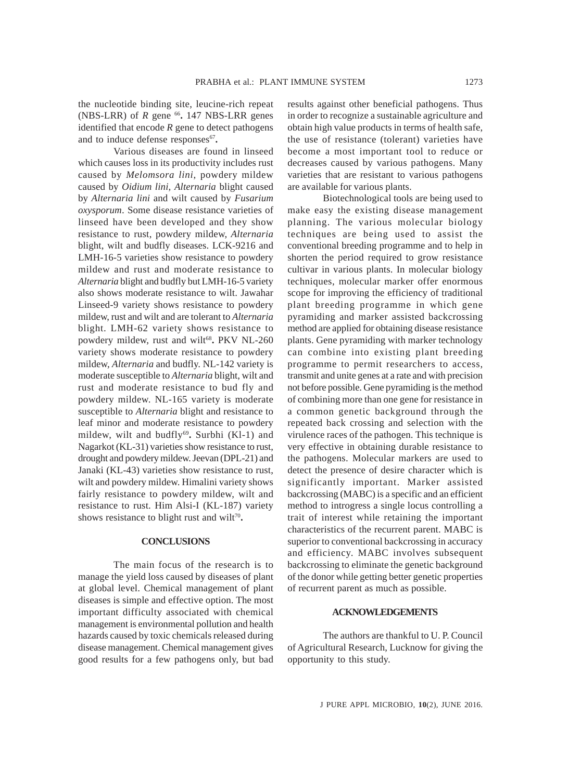the nucleotide binding site, leucine-rich repeat (NBS-LRR) of  $R$  gene  $^{66}$ . 147 NBS-LRR genes identified that encode *R* gene to detect pathogens and to induce defense responses<sup>67</sup>.

Various diseases are found in linseed which causes loss in its productivity includes rust caused by *Melomsora lini*, powdery mildew caused by *Oidium lini, Alternaria* blight caused by *Alternaria lini* and wilt caused by *Fusarium oxysporum*. Some disease resistance varieties of linseed have been developed and they show resistance to rust, powdery mildew, *Alternaria* blight, wilt and budfly diseases. LCK-9216 and LMH-16-5 varieties show resistance to powdery mildew and rust and moderate resistance to *Alternaria* blight and budfly but LMH-16-5 variety also shows moderate resistance to wilt. Jawahar Linseed-9 variety shows resistance to powdery mildew, rust and wilt and are tolerant to *Alternaria* blight. LMH-62 variety shows resistance to powdery mildew, rust and wilt<sup>68</sup>. PKV NL-260 variety shows moderate resistance to powdery mildew, *Alternaria* and budfly. NL-142 variety is moderate susceptible to *Alternaria* blight, wilt and rust and moderate resistance to bud fly and powdery mildew. NL-165 variety is moderate susceptible to *Alternaria* blight and resistance to leaf minor and moderate resistance to powdery mildew, wilt and budfly69**.** Surbhi (Kl-1) and Nagarkot (KL-31) varieties show resistance to rust, drought and powdery mildew. Jeevan (DPL-21) and Janaki (KL-43) varieties show resistance to rust, wilt and powdery mildew. Himalini variety shows fairly resistance to powdery mildew, wilt and resistance to rust. Him Alsi-I (KL-187) variety shows resistance to blight rust and wilt<sup>70</sup>.

### **CONCLUSIONS**

The main focus of the research is to manage the yield loss caused by diseases of plant at global level. Chemical management of plant diseases is simple and effective option. The most important difficulty associated with chemical management is environmental pollution and health hazards caused by toxic chemicals released during disease management. Chemical management gives good results for a few pathogens only, but bad results against other beneficial pathogens. Thus in order to recognize a sustainable agriculture and obtain high value products in terms of health safe, the use of resistance (tolerant) varieties have become a most important tool to reduce or decreases caused by various pathogens. Many varieties that are resistant to various pathogens are available for various plants.

Biotechnological tools are being used to make easy the existing disease management planning. The various molecular biology techniques are being used to assist the conventional breeding programme and to help in shorten the period required to grow resistance cultivar in various plants. In molecular biology techniques, molecular marker offer enormous scope for improving the efficiency of traditional plant breeding programme in which gene pyramiding and marker assisted backcrossing method are applied for obtaining disease resistance plants. Gene pyramiding with marker technology can combine into existing plant breeding programme to permit researchers to access, transmit and unite genes at a rate and with precision not before possible. Gene pyramiding is the method of combining more than one gene for resistance in a common genetic background through the repeated back crossing and selection with the virulence races of the pathogen. This technique is very effective in obtaining durable resistance to the pathogens. Molecular markers are used to detect the presence of desire character which is significantly important. Marker assisted backcrossing (MABC) is a specific and an efficient method to introgress a single locus controlling a trait of interest while retaining the important characteristics of the recurrent parent. MABC is superior to conventional backcrossing in accuracy and efficiency. MABC involves subsequent backcrossing to eliminate the genetic background of the donor while getting better genetic properties of recurrent parent as much as possible.

### **ACKNOWLEDGEMENTS**

The authors are thankful to U. P. Council of Agricultural Research, Lucknow for giving the opportunity to this study.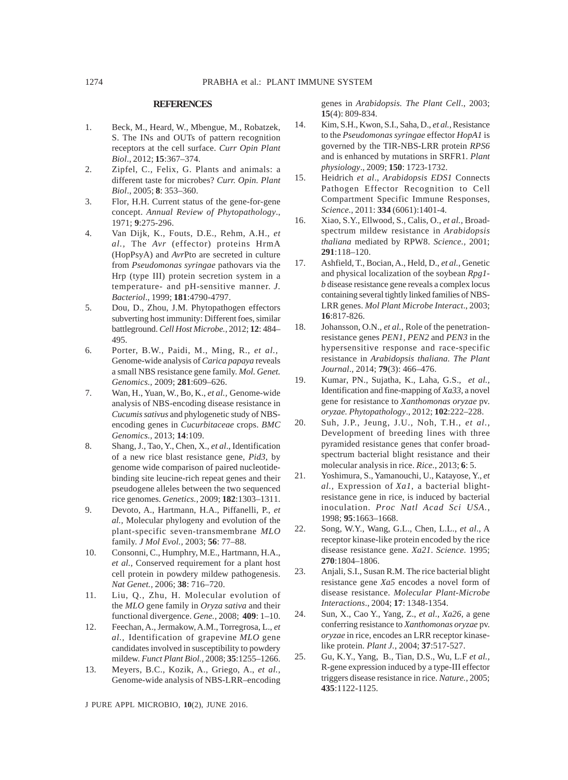#### **REFERENCES**

- 1. Beck, M., Heard, W., Mbengue, M., Robatzek, S. The INs and OUTs of pattern recognition receptors at the cell surface. *Curr Opin Plant Biol*., 2012; **15**:367–374.
- 2. Zipfel, C., Felix, G. Plants and animals: a different taste for microbes? *Curr. Opin. Plant Biol*., 2005; **8**: 353–360.
- 3. Flor, H.H. Current status of the gene-for-gene concept. *Annual Review of Phytopathology*., 1971; **9**:275-296.
- 4. Van Dijk, K., Fouts, D.E., Rehm, A.H., *et al.,* The *Avr* (effector) proteins HrmA (HopPsyA) and *Avr*Pto are secreted in culture from *Pseudomonas syringae* pathovars via the Hrp (type III) protein secretion system in a temperature- and pH-sensitive manner. *J. Bacteriol*., 1999; **181**:4790-4797.
- 5. Dou, D., Zhou, J.M. Phytopathogen effectors subverting host immunity: Different foes, similar battleground. *Cell Host Microbe.,* 2012; **12**: 484– 495.
- 6. Porter, B.W., Paidi, M., Ming, R., *et al.,* Genome-wide analysis of *Carica papaya* reveals a small NBS resistance gene family. *Mol. Genet. Genomics.,* 2009; **281**:609–626.
- 7. Wan, H., Yuan, W., Bo, K., *et al.,* Genome-wide analysis of NBS-encoding disease resistance in *Cucumis sativus* and phylogenetic study of NBSencoding genes in *Cucurbitaceae* crops. *BMC Genomics.,* 2013; **14**:109.
- 8. Shang, J., Tao, Y., Chen, X., *et al*., Identification of a new rice blast resistance gene, *Pid3*, by genome wide comparison of paired nucleotidebinding site leucine-rich repeat genes and their pseudogene alleles between the two sequenced rice genomes. *Genetics.,* 2009; **182**:1303–1311.
- 9. Devoto, A., Hartmann, H.A., Piffanelli, P., *et al.,* Molecular phylogeny and evolution of the plant-specific seven-transmembrane *MLO* family. *J Mol Evol.,* 2003; **56**: 77–88.
- 10. Consonni, C., Humphry, M.E., Hartmann, H.A., *et al.,* Conserved requirement for a plant host cell protein in powdery mildew pathogenesis. *Nat Genet.,* 2006; **38**: 716–720.
- 11. Liu, Q., Zhu, H. Molecular evolution of the *MLO* gene family in *Oryza sativa* and their functional divergence. *Gene.,* 2008; **409**: 1–10.
- 12. Feechan, A., Jermakow, A.M., Torregrosa, L., *et al.,* Identification of grapevine *MLO* gene candidates involved in susceptibility to powdery mildew. *Funct Plant Biol.,* 2008; **35**:1255–1266.
- 13. Meyers, B.C., Kozik, A., Griego, A., *et al.,* Genome-wide analysis of NBS-LRR–encoding

J PURE APPL MICROBIO*,* **10**(2), JUNE 2016.

genes in *Arabidopsis. The Plant Cell*., 2003; **15**(4): 809-834.

- 14. Kim, S.H., Kwon, S.I., Saha, D., *et al.,* Resistance to the *Pseudomonas syringae* effector *HopA1* is governed by the TIR-NBS-LRR protein *RPS6* and is enhanced by mutations in SRFR1. *Plant physiology*., 2009; **150**: 1723-1732.
- 15. Heidrich *et al*., *Arabidopsis EDS1* Connects Pathogen Effector Recognition to Cell Compartment Specific Immune Responses*, Science.,* 2011: **334** (6061):1401-4.
- 16. Xiao, S.Y., Ellwood, S., Calis, O., *et al.,* Broadspectrum mildew resistance in *Arabidopsis thaliana* mediated by RPW8. *Science.,* 2001; **291**:118–120.
- 17. Ashfield, T., Bocian, A., Held, D., *et al.*, Genetic and physical localization of the soybean *Rpg1 b* disease resistance gene reveals a complex locus containing several tightly linked families of NBS-LRR genes. *Mol Plant Microbe Interact*., 2003; **16**:817-826.
- 18. Johansson, O.N., *et al.,* Role of the penetrationresistance genes *PEN1, PEN2* and *PEN3* in the hypersensitive response and race-specific resistance in *Arabidopsis thaliana. The Plant Journal*., 2014; **79**(3): 466–476.
- 19. Kumar, PN., Sujatha, K., Laha, G.S., *et al.,* Identification and fine-mapping of *Xa33,* a novel gene for resistance to *Xanthomonas oryzae* pv. *oryzae. Phytopathology*., 2012; **102**:222–228.
- 20. Suh, J.P., Jeung, J.U., Noh, T.H., *et al.,* Development of breeding lines with three pyramided resistance genes that confer broadspectrum bacterial blight resistance and their molecular analysis in rice. *Rice.*, 2013; **6**: 5.
- 21. Yoshimura, S., Yamanouchi, U., Katayose, Y., *et al.,* Expression of *Xa1*, a bacterial blightresistance gene in rice, is induced by bacterial inoculation. *Proc Natl Acad Sci USA.*, 1998; **95**:1663–1668.
- 22. Song, W.Y., Wang, G.L., Chen, L.L., *et al*., A receptor kinase-like protein encoded by the rice disease resistance gene. *Xa21*. *Science*. 1995; **270**:1804–1806.
- 23. Anjali, S.I., Susan R.M. The rice bacterial blight resistance gene *Xa5* encodes a novel form of disease resistance. *Molecular Plant-Microbe Interactions*., 2004; **17**: 1348-1354.
- 24. Sun, X., Cao Y., Yang, Z., *et al*., *Xa26*, a gene conferring resistance to *Xanthomonas oryzae* pv. *oryzae* in rice, encodes an LRR receptor kinaselike protein. *Plant J.*, 2004; **37**:517-527.
- 25. Gu, K.Y., Yang, B., Tian, D.S., Wu, L.F *et al.,* R-gene expression induced by a type-III effector triggers disease resistance in rice. *Nature.*, 2005; **435**:1122-1125.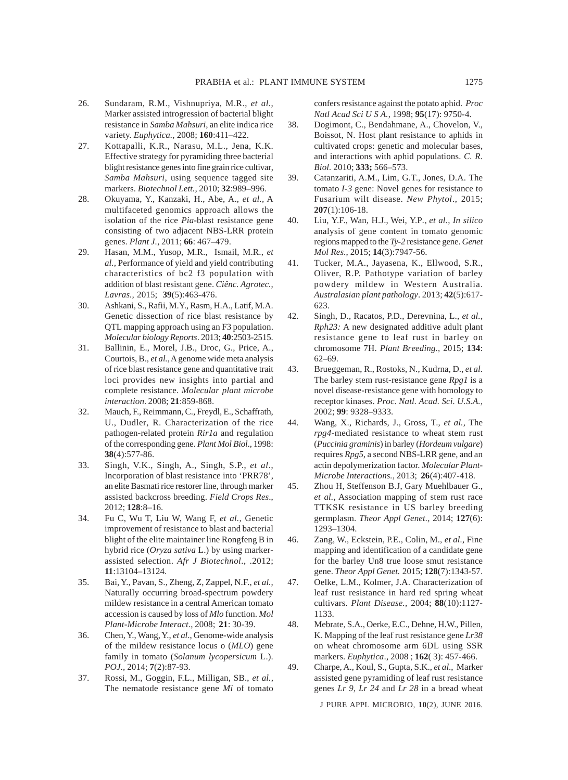- 26. Sundaram, R.M., Vishnupriya, M.R., *et al.,* Marker assisted introgression of bacterial blight resistance in *Samba Mahsuri*, an elite indica rice variety. *Euphytica.,* 2008; **160**:411–422.
- 27. Kottapalli, K.R., Narasu, M.L., Jena, K.K. Effective strategy for pyramiding three bacterial blight resistance genes into fine grain rice cultivar, *Samba Mahsuri*, using sequence tagged site markers. *Biotechnol Lett.,* 2010; **32**:989–996.
- 28. Okuyama, Y., Kanzaki, H., Abe, A., *et al.,* A multifaceted genomics approach allows the isolation of the rice *Pia*-blast resistance gene consisting of two adjacent NBS-LRR protein genes. *Plant J.,* 2011; **66**: 467–479.
- 29. Hasan, M.M., Yusop, M.R., Ismail, M.R., *et al.,* Performance of yield and yield contributing characteristics of bc2 f3 population with addition of blast resistant gene. *Ciênc. Agrotec., Lavras.,* 2015; **39**(5):463-476.
- 30. Ashkani, S., Rafii, M.Y., Rasm, H.A., Latif, M.A. Genetic dissection of rice blast resistance by QTL mapping approach using an F3 population. *Molecular biology Reports*. 2013; **40**:2503-2515.
- 31. Ballinin, E., Morel, J.B., Droc, G., Price, A., Courtois, B., *et al.,* A genome wide meta analysis of rice blast resistance gene and quantitative trait loci provides new insights into partial and complete resistance. *Molecular plant microbe interaction*. 2008; **21**:859-868.
- 32. Mauch, F., Reimmann, C., Freydl, E., Schaffrath, U., Dudler, R. Characterization of the rice pathogen-related protein *Rir1a* and regulation of the corresponding gene. *Plant Mol Biol*., 1998: **38**(4):577-86.
- 33. Singh, V.K., Singh, A., Singh, S.P., *et al*., Incorporation of blast resistance into 'PRR78', an elite Basmati rice restorer line, through marker assisted backcross breeding. *Field Crops Res*., 2012; **128**:8–16.
- 34. Fu C, Wu T, Liu W, Wang F, *et al.,* Genetic improvement of resistance to blast and bacterial blight of the elite maintainer line Rongfeng B in hybrid rice (*Oryza sativa* L.) by using markerassisted selection. *Afr J Biotechnol*., .2012; **11**:13104–13124.
- 35. Bai, Y., Pavan, S., Zheng, Z, Zappel, N.F., *et al.,* Naturally occurring broad-spectrum powdery mildew resistance in a central American tomato accession is caused by loss of *Mlo* function. *Mol Plant-Microbe Interact*., 2008; **21**: 30-39.
- 36. Chen, Y., Wang, Y., *et al*., Genome-wide analysis of the mildew resistance locus o (*MLO*) gene family in tomato (*Solanum lycopersicum* L.). *POJ.,* 2014; **7**(2):87-93.
- 37. Rossi, M., Goggin, F.L., Milligan, SB., *et al.,* The nematode resistance gene *Mi* of tomato

confers resistance against the potato aphid. *Proc Natl Acad Sci U S A.*, 1998; **95**(17): 9750-4.

- 38. Dogimont, C., Bendahmane, A., Chovelon, V., Boissot, N. Host plant resistance to aphids in cultivated crops: genetic and molecular bases, and interactions with aphid populations. *C. R. Biol.* 2010; **333;** 566–573.
- 39. Catanzariti, A.M., Lim, G.T., Jones, D.A. The tomato *I-3* gene: Novel genes for resistance to Fusarium wilt disease. *New Phytol*., 2015; **207**(1):106-18.
- 40. Liu, Y.F., Wan, H.J., Wei, Y.P*., et al., In silico* analysis of gene content in tomato genomic regions mapped to the *Ty-2* resistance gene. *Genet Mol Res*., 2015; **14**(3):7947-56.
- 41. Tucker, M.A., Jayasena, K., Ellwood, S.R., Oliver, R.P. Pathotype variation of barley powdery mildew in Western Australia. *Australasian plant pathology*. 2013; **42**(5):617- 623.
- 42. Singh, D., Racatos, P.D., Derevnina, L., *et al., Rph23:* A new designated additive adult plant resistance gene to leaf rust in barley on chromosome 7H. *Plant Breeding.,* 2015; **134**: 62–69.
- 43. Brueggeman, R., Rostoks, N., Kudrna, D., *et al.* The barley stem rust-resistance gene *Rpg1* is a novel disease-resistance gene with homology to receptor kinases. *Proc. Natl. Acad. Sci. U.S.A.,* 2002; **99**: 9328–9333.
- 44. Wang, X., Richards, J., Gross, T., *et al.,* The *rpg4*-mediated resistance to wheat stem rust (*Puccinia graminis*) in barley (*Hordeum vulgare*) requires *Rpg5*, a second NBS-LRR gene, and an actin depolymerization factor. *Molecular Plant-Microbe Interactions.,* 2013; **26**(4):407-418.
- 45. Zhou H, Steffenson B.J, Gary Muehlbauer G., *et al.,* Association mapping of stem rust race TTKSK resistance in US barley breeding germplasm. *Theor Appl Genet.,* 2014; **127**(6): 1293–1304.
- 46. Zang, W., Eckstein, P.E., Colin, M., *et al.,* Fine mapping and identification of a candidate gene for the barley Un8 true loose smut resistance gene. *Theor Appl Genet.* 2015; **128**(7):1343-57.
- 47. Oelke, L.M., Kolmer, J.A. Characterization of leaf rust resistance in hard red spring wheat cultivars. *Plant Disease.,* 2004; **88**(10):1127- 1133.
- 48. Mebrate, S.A., Oerke, E.C., Dehne, H.W., Pillen, K. Mapping of the leaf rust resistance gene *Lr38* on wheat chromosome arm 6DL using SSR markers. *Euphytica*., 2008 ; **162**( 3): 457-466.
- 49. Charpe, A., Koul, S., Gupta, S.K., *et al*., Marker assisted gene pyramiding of leaf rust resistance genes *Lr 9, Lr 24* and *Lr 28* in a bread wheat

J PURE APPL MICROBIO*,* **10**(2), JUNE 2016.